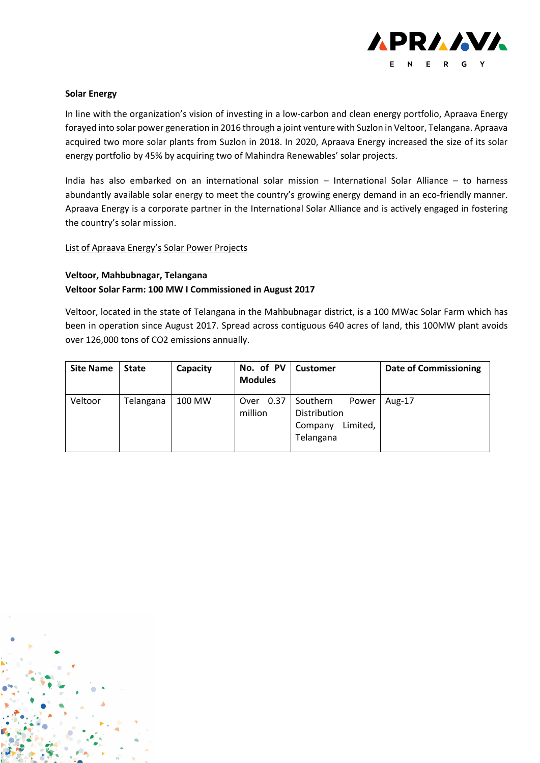

#### **Solar Energy**

In line with the organization's vision of investing in a low-carbon and clean energy portfolio, Apraava Energy forayed into solar power generation in 2016 through a joint venture with Suzlon in Veltoor, Telangana. Apraava acquired two more solar plants from Suzlon in 2018. In 2020, Apraava Energy increased the size of its solar energy portfolio by 45% by acquiring two of Mahindra Renewables' solar projects.

India has also embarked on an international solar mission – International Solar Alliance – to harness abundantly available solar energy to meet the country's growing energy demand in an eco-friendly manner. Apraava Energy is a corporate partner in the International Solar Alliance and is actively engaged in fostering the country's solar mission.

#### List of Apraava Energy's Solar Power Projects

### **Veltoor, Mahbubnagar, Telangana Veltoor Solar Farm: 100 MW I Commissioned in August 2017**

Veltoor, located in the state of Telangana in the Mahbubnagar district, is a 100 MWac Solar Farm which has been in operation since August 2017. Spread across contiguous 640 acres of land, this 100MW plant avoids over 126,000 tons of CO2 emissions annually.

| <b>Site Name</b> | <b>State</b> | Capacity | No. of PV<br><b>Modules</b> | <b>Customer</b>                                                       | <b>Date of Commissioning</b> |
|------------------|--------------|----------|-----------------------------|-----------------------------------------------------------------------|------------------------------|
| Veltoor          | Telangana    | 100 MW   | Over 0.37<br>million        | Southern<br>Power<br>Distribution<br>Limited,<br>Company<br>Telangana | Aug-17                       |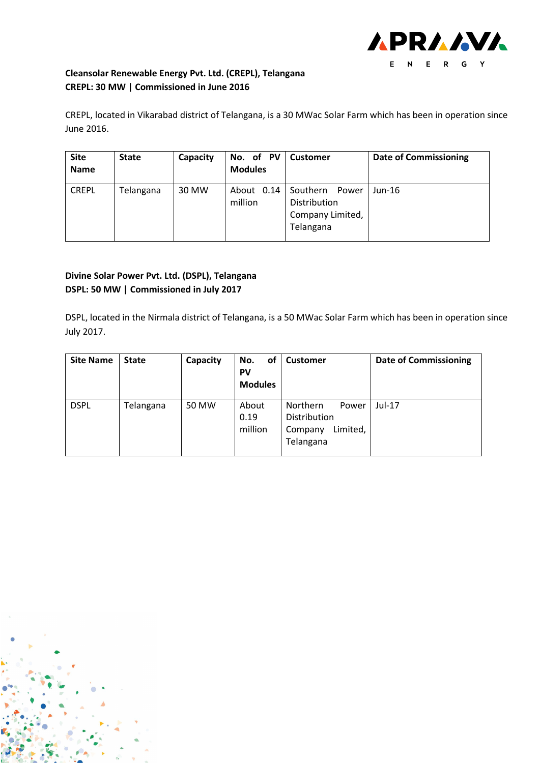

# **Cleansolar Renewable Energy Pvt. Ltd. (CREPL), Telangana CREPL: 30 MW | Commissioned in June 2016**

CREPL, located in Vikarabad district of Telangana, is a 30 MWac Solar Farm which has been in operation since June 2016.

| <b>Site</b><br><b>Name</b> | <b>State</b> | Capacity | No. of PV<br><b>Modules</b> | <b>Customer</b>                                                    | <b>Date of Commissioning</b> |
|----------------------------|--------------|----------|-----------------------------|--------------------------------------------------------------------|------------------------------|
| <b>CREPL</b>               | Telangana    | 30 MW    | About 0.14<br>million       | Southern<br>Power<br>Distribution<br>Company Limited,<br>Telangana | $Jun-16$                     |

# **Divine Solar Power Pvt. Ltd. (DSPL), Telangana DSPL: 50 MW | Commissioned in July 2017**

DSPL, located in the Nirmala district of Telangana, is a 50 MWac Solar Farm which has been in operation since July 2017.

| <b>Site Name</b> | <b>State</b> | Capacity | οf<br>No.<br><b>PV</b><br><b>Modules</b> | <b>Customer</b>                                                       | <b>Date of Commissioning</b> |
|------------------|--------------|----------|------------------------------------------|-----------------------------------------------------------------------|------------------------------|
| <b>DSPL</b>      | Telangana    | 50 MW    | About<br>0.19<br>million                 | Northern<br>Power<br>Distribution<br>Limited,<br>Company<br>Telangana | $Jul-17$                     |